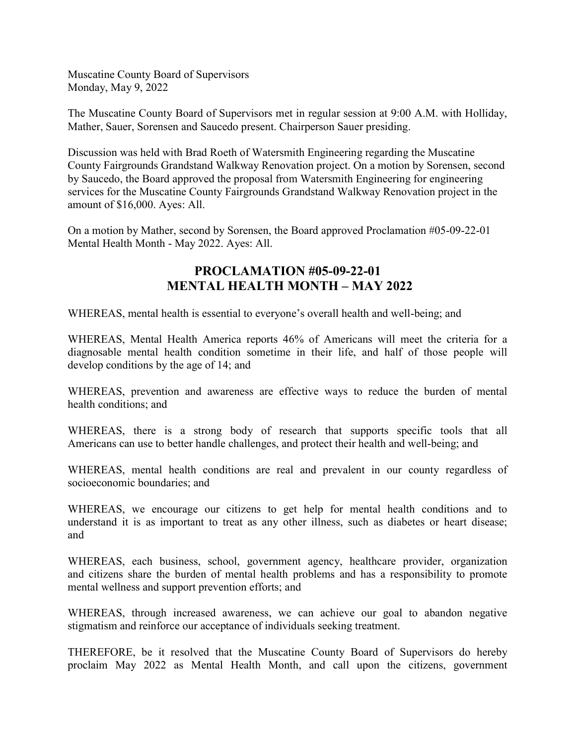Muscatine County Board of Supervisors Monday, May 9, 2022

The Muscatine County Board of Supervisors met in regular session at 9:00 A.M. with Holliday, Mather, Sauer, Sorensen and Saucedo present. Chairperson Sauer presiding.

Discussion was held with Brad Roeth of Watersmith Engineering regarding the Muscatine County Fairgrounds Grandstand Walkway Renovation project. On a motion by Sorensen, second by Saucedo, the Board approved the proposal from Watersmith Engineering for engineering services for the Muscatine County Fairgrounds Grandstand Walkway Renovation project in the amount of \$16,000. Ayes: All.

On a motion by Mather, second by Sorensen, the Board approved Proclamation #05-09-22-01 Mental Health Month - May 2022. Ayes: All.

# PROCLAMATION #05-09-22-01 MENTAL HEALTH MONTH – MAY 2022

WHEREAS, mental health is essential to everyone's overall health and well-being; and

WHEREAS, Mental Health America reports 46% of Americans will meet the criteria for a diagnosable mental health condition sometime in their life, and half of those people will develop conditions by the age of 14; and

WHEREAS, prevention and awareness are effective ways to reduce the burden of mental health conditions; and

WHEREAS, there is a strong body of research that supports specific tools that all Americans can use to better handle challenges, and protect their health and well-being; and

WHEREAS, mental health conditions are real and prevalent in our county regardless of socioeconomic boundaries; and

WHEREAS, we encourage our citizens to get help for mental health conditions and to understand it is as important to treat as any other illness, such as diabetes or heart disease; and

WHEREAS, each business, school, government agency, healthcare provider, organization and citizens share the burden of mental health problems and has a responsibility to promote mental wellness and support prevention efforts; and

WHEREAS, through increased awareness, we can achieve our goal to abandon negative stigmatism and reinforce our acceptance of individuals seeking treatment.

THEREFORE, be it resolved that the Muscatine County Board of Supervisors do hereby proclaim May 2022 as Mental Health Month, and call upon the citizens, government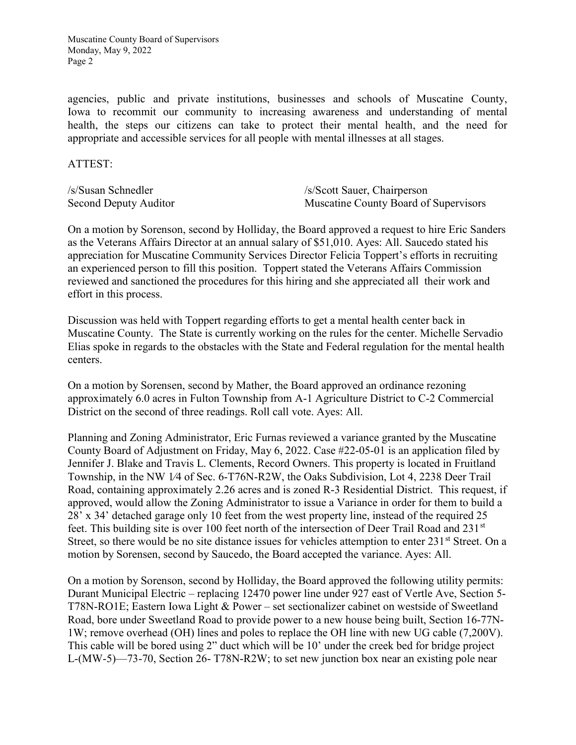Muscatine County Board of Supervisors Monday, May 9, 2022 Page 2

agencies, public and private institutions, businesses and schools of Muscatine County, Iowa to recommit our community to increasing awareness and understanding of mental health, the steps our citizens can take to protect their mental health, and the need for appropriate and accessible services for all people with mental illnesses at all stages.

#### ATTEST:

| /s/Susan Schnedler    | /s/Scott Sauer, Chairperson           |
|-----------------------|---------------------------------------|
| Second Deputy Auditor | Muscatine County Board of Supervisors |

On a motion by Sorenson, second by Holliday, the Board approved a request to hire Eric Sanders as the Veterans Affairs Director at an annual salary of \$51,010. Ayes: All. Saucedo stated his appreciation for Muscatine Community Services Director Felicia Toppert's efforts in recruiting an experienced person to fill this position. Toppert stated the Veterans Affairs Commission reviewed and sanctioned the procedures for this hiring and she appreciated all their work and effort in this process.

Discussion was held with Toppert regarding efforts to get a mental health center back in Muscatine County. The State is currently working on the rules for the center. Michelle Servadio Elias spoke in regards to the obstacles with the State and Federal regulation for the mental health centers.

On a motion by Sorensen, second by Mather, the Board approved an ordinance rezoning approximately 6.0 acres in Fulton Township from A-1 Agriculture District to C-2 Commercial District on the second of three readings. Roll call vote. Ayes: All.

Planning and Zoning Administrator, Eric Furnas reviewed a variance granted by the Muscatine County Board of Adjustment on Friday, May 6, 2022. Case #22-05-01 is an application filed by Jennifer J. Blake and Travis L. Clements, Record Owners. This property is located in Fruitland Township, in the NW 1/4 of Sec. 6-T76N-R2W, the Oaks Subdivision, Lot 4, 2238 Deer Trail Road, containing approximately 2.26 acres and is zoned R-3 Residential District. This request, if approved, would allow the Zoning Administrator to issue a Variance in order for them to build a 28' x 34' detached garage only 10 feet from the west property line, instead of the required 25 feet. This building site is over 100 feet north of the intersection of Deer Trail Road and 231<sup>st</sup> Street, so there would be no site distance issues for vehicles attemption to enter 231<sup>st</sup> Street. On a motion by Sorensen, second by Saucedo, the Board accepted the variance. Ayes: All.

On a motion by Sorenson, second by Holliday, the Board approved the following utility permits: Durant Municipal Electric – replacing 12470 power line under 927 east of Vertle Ave, Section 5- T78N-RO1E; Eastern Iowa Light & Power – set sectionalizer cabinet on westside of Sweetland Road, bore under Sweetland Road to provide power to a new house being built, Section 16-77N-1W; remove overhead (OH) lines and poles to replace the OH line with new UG cable (7,200V). This cable will be bored using 2" duct which will be 10' under the creek bed for bridge project L-(MW-5)—73-70, Section 26- T78N-R2W; to set new junction box near an existing pole near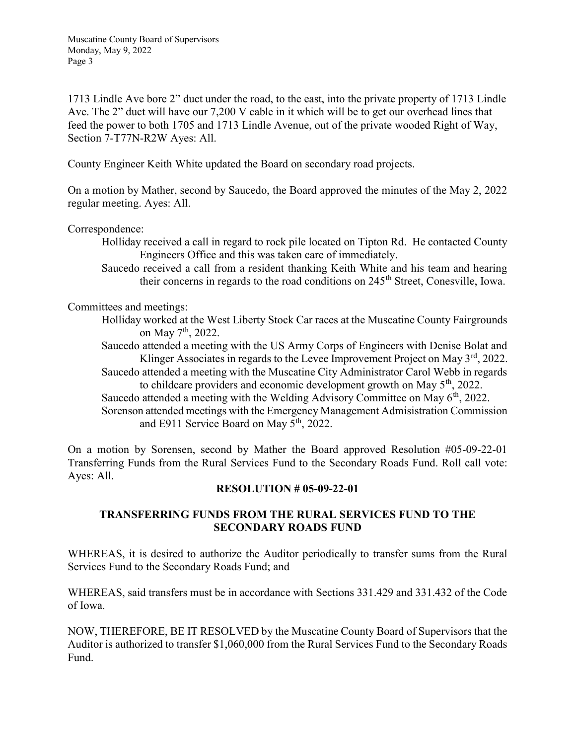1713 Lindle Ave bore 2" duct under the road, to the east, into the private property of 1713 Lindle Ave. The 2" duct will have our 7,200 V cable in it which will be to get our overhead lines that feed the power to both 1705 and 1713 Lindle Avenue, out of the private wooded Right of Way, Section 7-T77N-R2W Ayes: All.

County Engineer Keith White updated the Board on secondary road projects.

On a motion by Mather, second by Saucedo, the Board approved the minutes of the May 2, 2022 regular meeting. Ayes: All.

Correspondence:

- Holliday received a call in regard to rock pile located on Tipton Rd. He contacted County Engineers Office and this was taken care of immediately.
- Saucedo received a call from a resident thanking Keith White and his team and hearing their concerns in regards to the road conditions on 245<sup>th</sup> Street, Conesville, Iowa.

Committees and meetings:

- Holliday worked at the West Liberty Stock Car races at the Muscatine County Fairgrounds on May 7<sup>th</sup>, 2022.
- Saucedo attended a meeting with the US Army Corps of Engineers with Denise Bolat and Klinger Associates in regards to the Levee Improvement Project on May  $3<sup>rd</sup>$ , 2022.
- Saucedo attended a meeting with the Muscatine City Administrator Carol Webb in regards
	- to childcare providers and economic development growth on May  $5<sup>th</sup>$ , 2022.
- Saucedo attended a meeting with the Welding Advisory Committee on May  $6<sup>th</sup>$ , 2022.
- Sorenson attended meetings with the Emergency Management Admisistration Commission and E911 Service Board on May 5<sup>th</sup>, 2022.

On a motion by Sorensen, second by Mather the Board approved Resolution #05-09-22-01 Transferring Funds from the Rural Services Fund to the Secondary Roads Fund. Roll call vote: Ayes: All.

#### RESOLUTION # 05-09-22-01

## TRANSFERRING FUNDS FROM THE RURAL SERVICES FUND TO THE SECONDARY ROADS FUND

WHEREAS, it is desired to authorize the Auditor periodically to transfer sums from the Rural Services Fund to the Secondary Roads Fund; and

WHEREAS, said transfers must be in accordance with Sections 331.429 and 331.432 of the Code of Iowa.

NOW, THEREFORE, BE IT RESOLVED by the Muscatine County Board of Supervisors that the Auditor is authorized to transfer \$1,060,000 from the Rural Services Fund to the Secondary Roads Fund.